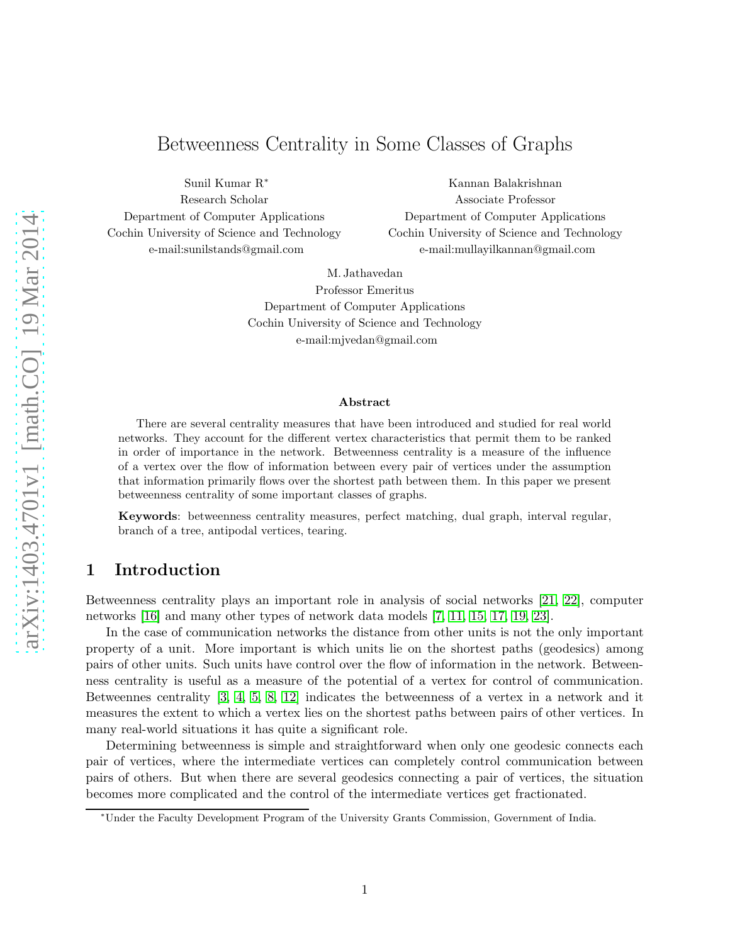# Betweenness Centrality in Some Classes of Graphs

Sunil Kumar R<sup>∗</sup> Research Scholar Department of Computer Applications Cochin University of Science and Technology e-mail:sunilstands@gmail.com

Kannan Balakrishnan Associate Professor Department of Computer Applications Cochin University of Science and Technology e-mail:mullayilkannan@gmail.com

M. Jathavedan

Professor Emeritus Department of Computer Applications Cochin University of Science and Technology e-mail:mjvedan@gmail.com

#### Abstract

There are several centrality measures that have been introduced and studied for real world networks. They account for the different vertex characteristics that permit them to be ranked in order of importance in the network. Betweenness centrality is a measure of the influence of a vertex over the flow of information between every pair of vertices under the assumption that information primarily flows over the shortest path between them. In this paper we present betweenness centrality of some important classes of graphs.

Keywords: betweenness centrality measures, perfect matching, dual graph, interval regular, branch of a tree, antipodal vertices, tearing.

# 1 Introduction

Betweenness centrality plays an important role in analysis of social networks [\[21,](#page-17-0) [22\]](#page-17-1), computer networks [\[16\]](#page-17-2) and many other types of network data models [\[7,](#page-16-0) [11,](#page-16-1) [15,](#page-17-3) [17,](#page-17-4) [19,](#page-17-5) [23\]](#page-17-6).

In the case of communication networks the distance from other units is not the only important property of a unit. More important is which units lie on the shortest paths (geodesics) among pairs of other units. Such units have control over the flow of information in the network. Betweenness centrality is useful as a measure of the potential of a vertex for control of communication. Betweennes centrality [\[3,](#page-16-2) [4,](#page-16-3) [5,](#page-16-4) [8,](#page-16-5) [12\]](#page-16-6) indicates the betweenness of a vertex in a network and it measures the extent to which a vertex lies on the shortest paths between pairs of other vertices. In many real-world situations it has quite a significant role.

Determining betweenness is simple and straightforward when only one geodesic connects each pair of vertices, where the intermediate vertices can completely control communication between pairs of others. But when there are several geodesics connecting a pair of vertices, the situation becomes more complicated and the control of the intermediate vertices get fractionated.

<sup>∗</sup>Under the Faculty Development Program of the University Grants Commission, Government of India.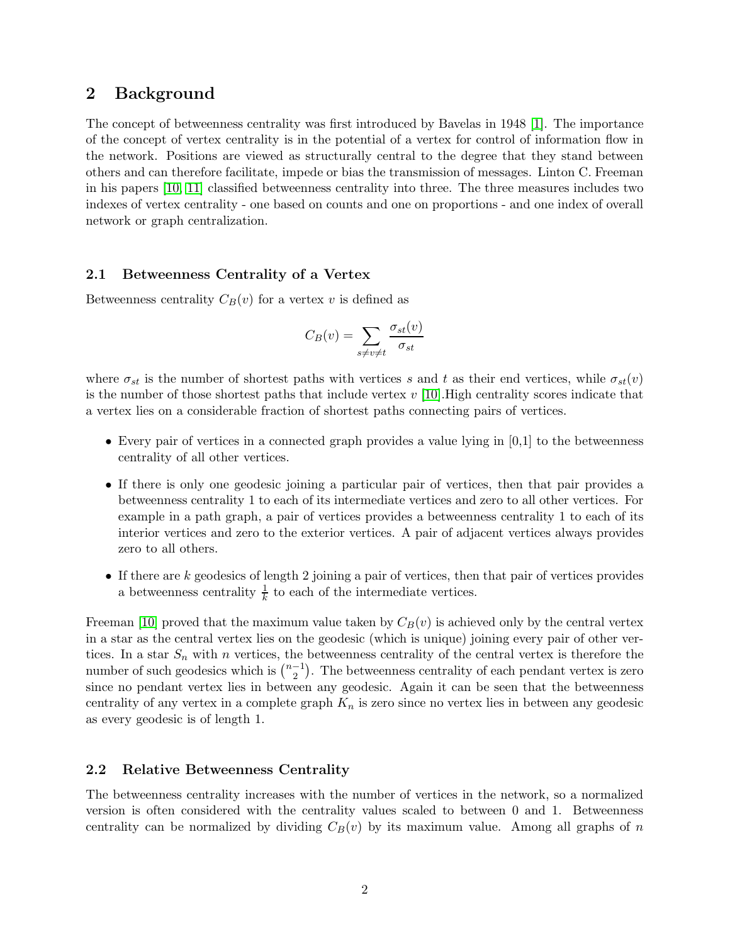# 2 Background

The concept of betweenness centrality was first introduced by Bavelas in 1948 [\[1\]](#page-16-7). The importance of the concept of vertex centrality is in the potential of a vertex for control of information flow in the network. Positions are viewed as structurally central to the degree that they stand between others and can therefore facilitate, impede or bias the transmission of messages. Linton C. Freeman in his papers [\[10,](#page-16-8) [11\]](#page-16-1) classified betweenness centrality into three. The three measures includes two indexes of vertex centrality - one based on counts and one on proportions - and one index of overall network or graph centralization.

#### 2.1 Betweenness Centrality of a Vertex

Betweenness centrality  $C_B(v)$  for a vertex v is defined as

$$
C_B(v) = \sum_{s \neq v \neq t} \frac{\sigma_{st}(v)}{\sigma_{st}}
$$

where  $\sigma_{st}$  is the number of shortest paths with vertices s and t as their end vertices, while  $\sigma_{st}(v)$ is the number of those shortest paths that include vertex  $v \sim 10$ . High centrality scores indicate that a vertex lies on a considerable fraction of shortest paths connecting pairs of vertices.

- Every pair of vertices in a connected graph provides a value lying in  $[0,1]$  to the betweenness centrality of all other vertices.
- If there is only one geodesic joining a particular pair of vertices, then that pair provides a betweenness centrality 1 to each of its intermediate vertices and zero to all other vertices. For example in a path graph, a pair of vertices provides a betweenness centrality 1 to each of its interior vertices and zero to the exterior vertices. A pair of adjacent vertices always provides zero to all others.
- $\bullet$  If there are k geodesics of length 2 joining a pair of vertices, then that pair of vertices provides a betweenness centrality  $\frac{1}{k}$  to each of the intermediate vertices.

Freeman [\[10\]](#page-16-8) proved that the maximum value taken by  $C_B(v)$  is achieved only by the central vertex in a star as the central vertex lies on the geodesic (which is unique) joining every pair of other vertices. In a star  $S_n$  with n vertices, the betweenness centrality of the central vertex is therefore the number of such geodesics which is  $\binom{n-1}{2}$  $\binom{-1}{2}$ . The betweenness centrality of each pendant vertex is zero since no pendant vertex lies in between any geodesic. Again it can be seen that the betweenness centrality of any vertex in a complete graph  $K_n$  is zero since no vertex lies in between any geodesic as every geodesic is of length 1.

#### 2.2 Relative Betweenness Centrality

The betweenness centrality increases with the number of vertices in the network, so a normalized version is often considered with the centrality values scaled to between 0 and 1. Betweenness centrality can be normalized by dividing  $C_B(v)$  by its maximum value. Among all graphs of n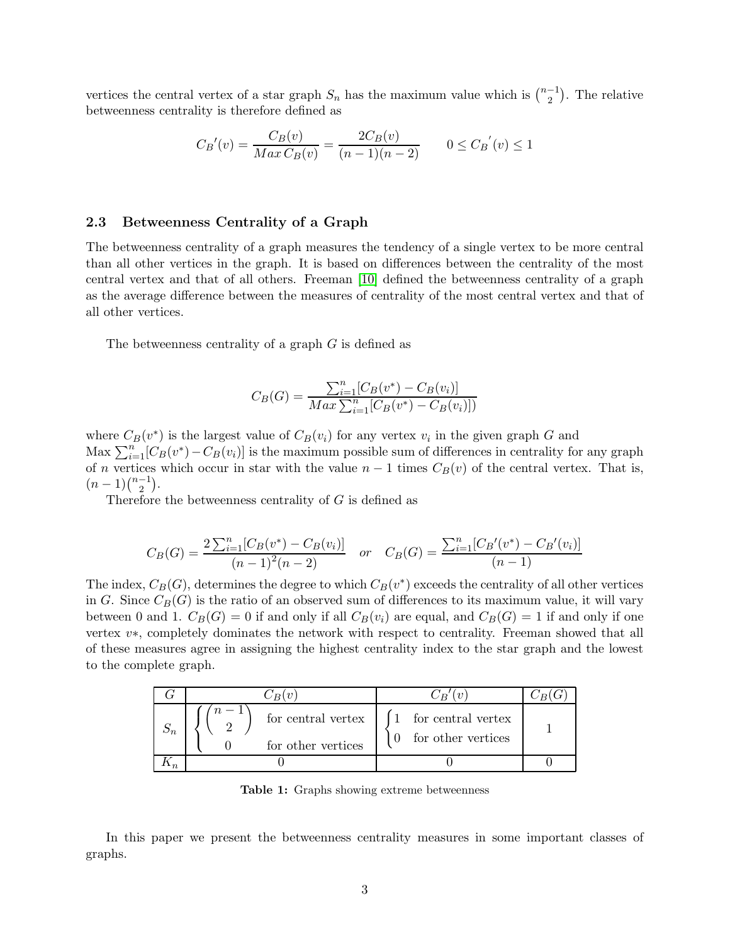vertices the central vertex of a star graph  $S_n$  has the maximum value which is  $\binom{n-1}{2}$  $\binom{-1}{2}$ . The relative betweenness centrality is therefore defined as

$$
C_B'(v) = \frac{C_B(v)}{Max\,C_B(v)} = \frac{2C_B(v)}{(n-1)(n-2)} \qquad 0 \le C_B'(v) \le 1
$$

### 2.3 Betweenness Centrality of a Graph

The betweenness centrality of a graph measures the tendency of a single vertex to be more central than all other vertices in the graph. It is based on differences between the centrality of the most central vertex and that of all others. Freeman [\[10\]](#page-16-8) defined the betweenness centrality of a graph as the average difference between the measures of centrality of the most central vertex and that of all other vertices.

The betweenness centrality of a graph G is defined as

$$
C_B(G) = \frac{\sum_{i=1}^{n} [C_B(v^*) - C_B(v_i)]}{Max \sum_{i=1}^{n} [C_B(v^*) - C_B(v_i)])}
$$

where  $C_B(v^*)$  is the largest value of  $C_B(v_i)$  for any vertex  $v_i$  in the given graph G and Max  $\sum_{i=1}^{n} [C_B(v^*) - C_B(v_i)]$  is the maximum possible sum of differences in centrality for any graph of n vertices which occur in star with the value  $n-1$  times  $C_B(v)$  of the central vertex. That is,  $(n-1)\binom{n-1}{2}$  $\binom{-1}{2}$ .

Therefore the betweenness centrality of G is defined as

$$
C_B(G) = \frac{2\sum_{i=1}^{n} [C_B(v^*) - C_B(v_i)]}{(n-1)^2(n-2)} \quad or \quad C_B(G) = \frac{\sum_{i=1}^{n} [C_B'(v^*) - C_B'(v_i)]}{(n-1)}
$$

The index,  $C_B(G)$ , determines the degree to which  $C_B(v^*)$  exceeds the centrality of all other vertices in G. Since  $C_B(G)$  is the ratio of an observed sum of differences to its maximum value, it will vary between 0 and 1.  $C_B(G) = 0$  if and only if all  $C_B(v_i)$  are equal, and  $C_B(G) = 1$  if and only if one vertex v∗, completely dominates the network with respect to centrality. Freeman showed that all of these measures agree in assigning the highest centrality index to the star graph and the lowest to the complete graph.

| for central vertex<br>for other vertices | [1 for central vertex]<br>for other vertices |  |
|------------------------------------------|----------------------------------------------|--|
|                                          |                                              |  |

Table 1: Graphs showing extreme betweenness

In this paper we present the betweenness centrality measures in some important classes of graphs.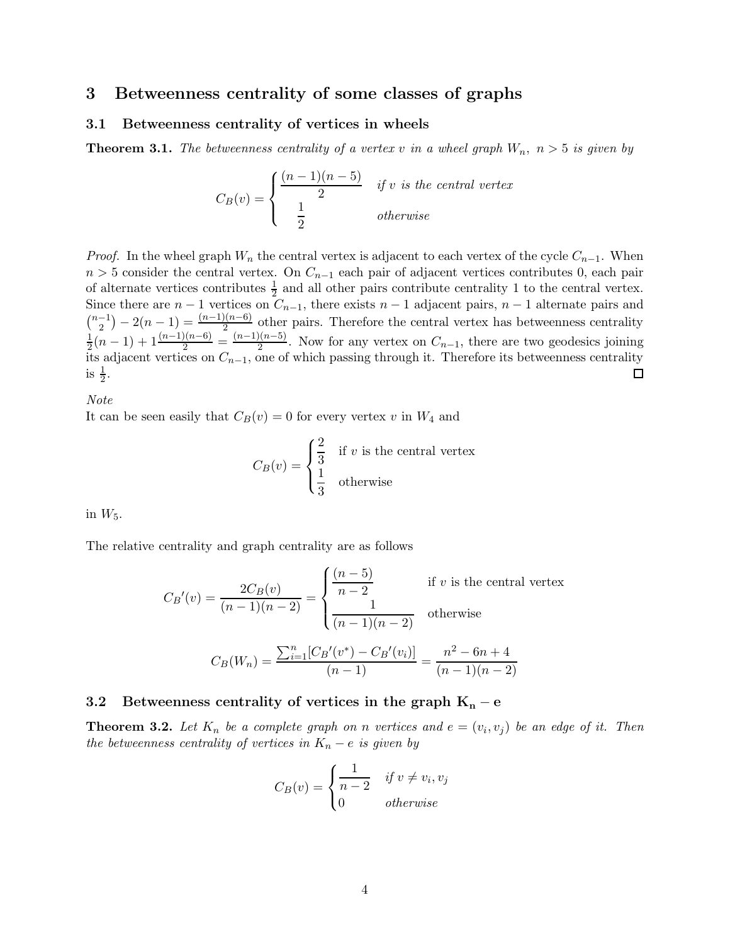# 3 Betweenness centrality of some classes of graphs

## 3.1 Betweenness centrality of vertices in wheels

**Theorem 3.1.** The betweenness centrality of a vertex v in a wheel graph  $W_n$ ,  $n > 5$  is given by

$$
C_B(v) = \begin{cases} \frac{(n-1)(n-5)}{2} & \text{if } v \text{ is the central vertex} \\ \frac{1}{2} & \text{otherwise} \end{cases}
$$

*Proof.* In the wheel graph  $W_n$  the central vertex is adjacent to each vertex of the cycle  $C_{n-1}$ . When  $n > 5$  consider the central vertex. On  $C_{n-1}$  each pair of adjacent vertices contributes 0, each pair of alternate vertices contributes  $\frac{1}{2}$  and all other pairs contribute centrality 1 to the central vertex. Since there are  $n-1$  vertices on  $C_{n-1}$ , there exists  $n-1$  adjacent pairs,  $n-1$  alternate pairs and  $\binom{n-1}{2}$  $\binom{-1}{2} - 2(n-1) = \frac{(n-1)(n-6)}{2}$  other pairs. Therefore the central vertex has betweenness centrality  $\frac{1}{2}(n-1)+1\frac{(n-1)(n-6)}{2}=\frac{(n-1)(n-5)}{2}$ 1  $\frac{2(n-5)}{2}$ . Now for any vertex on  $C_{n-1}$ , there are two geodesics joining its adjacent vertices on  $C_{n-1}$ , one of which passing through it. Therefore its betweenness centrality is  $\frac{1}{2}$ .  $\Box$ 

*Note*

It can be seen easily that  $C_B(v) = 0$  for every vertex v in  $W_4$  and

$$
C_B(v) = \begin{cases} \frac{2}{3} & \text{if } v \text{ is the central vertex} \\ \frac{1}{3} & \text{otherwise} \end{cases}
$$

in  $W_5$ .

The relative centrality and graph centrality are as follows

$$
C_B'(v) = \frac{2C_B(v)}{(n-1)(n-2)} = \begin{cases} \frac{(n-5)}{n-2} & \text{if } v \text{ is the central vertex} \\ \frac{1}{(n-1)(n-2)} & \text{otherwise} \end{cases}
$$

$$
C_B(W_n) = \frac{\sum_{i=1}^n [C_B'(v^*) - C_B'(v_i)]}{(n-1)} = \frac{n^2 - 6n + 4}{(n-1)(n-2)}
$$

## 3.2 Betweenness centrality of vertices in the graph  $K_n - e$

**Theorem 3.2.** Let  $K_n$  be a complete graph on n vertices and  $e = (v_i, v_j)$  be an edge of it. Then *the betweenness centrality of vertices in*  $K_n - e$  *is given by* 

$$
C_B(v) = \begin{cases} \frac{1}{n-2} & \text{if } v \neq v_i, v_j \\ 0 & \text{otherwise} \end{cases}
$$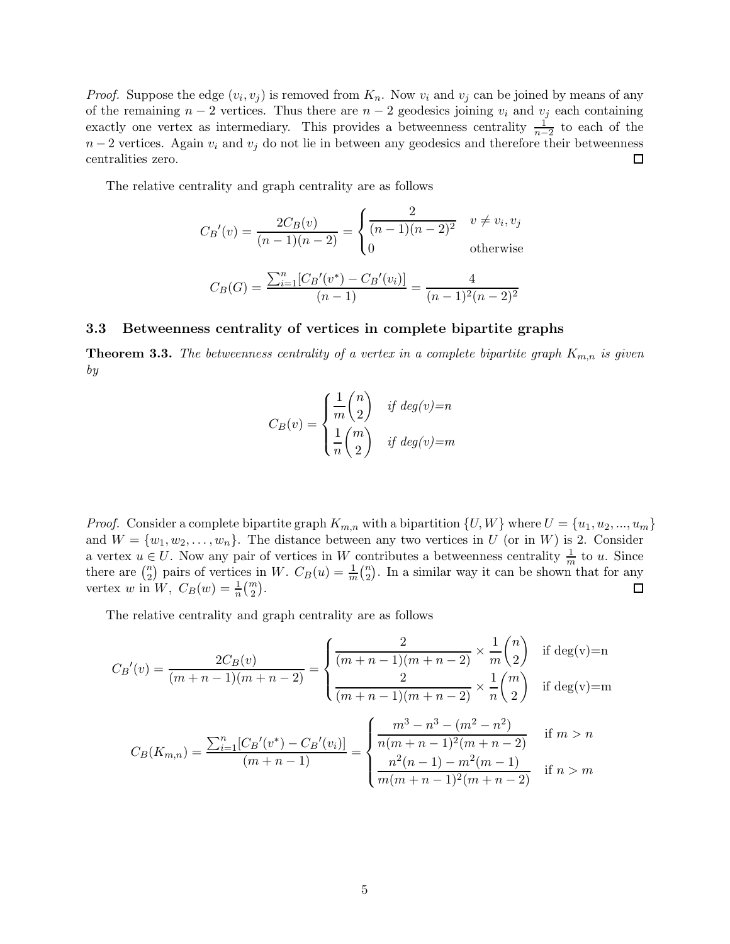*Proof.* Suppose the edge  $(v_i, v_j)$  is removed from  $K_n$ . Now  $v_i$  and  $v_j$  can be joined by means of any of the remaining  $n-2$  vertices. Thus there are  $n-2$  geodesics joining  $v_i$  and  $v_j$  each containing exactly one vertex as intermediary. This provides a betweenness centrality  $\frac{1}{n-2}$  to each of the  $n-2$  vertices. Again  $v_i$  and  $v_j$  do not lie in between any geodesics and therefore their betweenness centralities zero.  $\Box$ 

The relative centrality and graph centrality are as follows

$$
C_B'(v) = \frac{2C_B(v)}{(n-1)(n-2)} = \begin{cases} \frac{2}{(n-1)(n-2)^2} & v \neq v_i, v_j \\ 0 & \text{otherwise} \end{cases}
$$

$$
C_B(G) = \frac{\sum_{i=1}^{n} [C_B'(v^*) - C_B'(v_i)]}{(n-1)} = \frac{4}{(n-1)^2(n-2)^2}
$$

## 3.3 Betweenness centrality of vertices in complete bipartite graphs

**Theorem 3.3.** The betweenness centrality of a vertex in a complete bipartite graph  $K_{m,n}$  is given *by*

$$
C_B(v) = \begin{cases} \frac{1}{m} \binom{n}{2} & \text{if } deg(v) = n \\ \frac{1}{n} \binom{m}{2} & \text{if } deg(v) = m \end{cases}
$$

*Proof.* Consider a complete bipartite graph  $K_{m,n}$  with a bipartition  $\{U, W\}$  where  $U = \{u_1, u_2, ..., u_m\}$ and  $W = \{w_1, w_2, \ldots, w_n\}$ . The distance between any two vertices in U (or in W) is 2. Consider a vertex  $u \in U$ . Now any pair of vertices in W contributes a betweenness centrality  $\frac{1}{m}$  to u. Since there are  $\binom{n}{2}$  $\binom{n}{2}$  pairs of vertices in W.  $C_B(u) = \frac{1}{m} \binom{n}{2}$  $n_2$ ). In a similar way it can be shown that for any vertex w in  $W, C_B(w) = \frac{1}{n} {m \choose 2}.$ 

The relative centrality and graph centrality are as follows

$$
C_B'(v) = \frac{2C_B(v)}{(m+n-1)(m+n-2)} = \begin{cases} \frac{2}{(m+n-1)(m+n-2)} \times \frac{1}{m} \binom{n}{2} & \text{if } \deg(v) = n\\ \frac{2}{(m+n-1)(m+n-2)} \times \frac{1}{n} \binom{m}{2} & \text{if } \deg(v) = m \end{cases}
$$
\n
$$
C_B(K_{m,n}) = \frac{\sum_{i=1}^n [C_B'(v^*) - C_B'(v_i)]}{(m+n-1)} = \begin{cases} \frac{m^3 - n^3 - (m^2 - n^2)}{n(m+n-1)^2(m+n-2)} & \text{if } m > n\\ \frac{n^2(n-1) - m^2(m-1)}{m(m+n-1)^2(m+n-2)} & \text{if } n > m \end{cases}
$$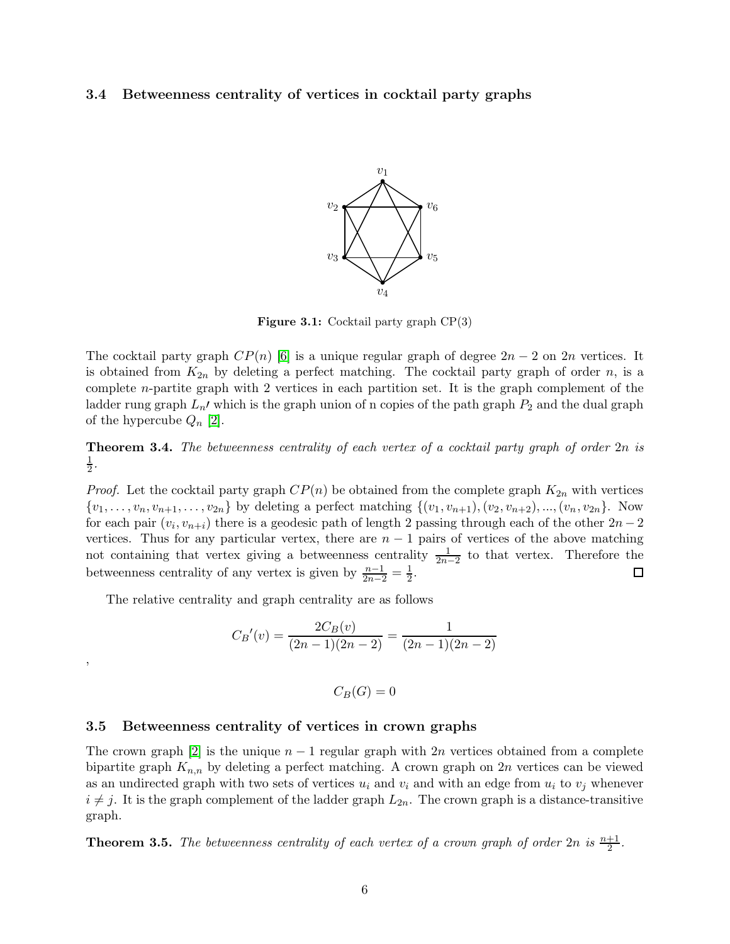### 3.4 Betweenness centrality of vertices in cocktail party graphs



Figure 3.1: Cocktail party graph CP(3)

The cocktail party graph  $CP(n)$  [\[6\]](#page-16-9) is a unique regular graph of degree  $2n-2$  on  $2n$  vertices. It is obtained from  $K_{2n}$  by deleting a perfect matching. The cocktail party graph of order n, is a complete n-partite graph with 2 vertices in each partition set. It is the graph complement of the ladder rung graph  $L_n'$  which is the graph union of n copies of the path graph  $P_2$  and the dual graph of the hypercube  $Q_n$  [\[2\]](#page-16-10).

Theorem 3.4. *The betweenness centrality of each vertex of a cocktail party graph of order* 2n *is* 1  $\frac{1}{2}$ .

*Proof.* Let the cocktail party graph  $CP(n)$  be obtained from the complete graph  $K_{2n}$  with vertices  $\{v_1, \ldots, v_n, v_{n+1}, \ldots, v_{2n}\}\$  by deleting a perfect matching  $\{(v_1, v_{n+1}), (v_2, v_{n+2}), \ldots, (v_n, v_{2n}\}\)$ . Now for each pair  $(v_i, v_{n+i})$  there is a geodesic path of length 2 passing through each of the other  $2n-2$ vertices. Thus for any particular vertex, there are  $n-1$  pairs of vertices of the above matching not containing that vertex giving a betweenness centrality  $\frac{1}{2n-2}$  to that vertex. Therefore the betweenness centrality of any vertex is given by  $\frac{n-1}{2n-2} = \frac{1}{2}$ .  $\Box$ 

The relative centrality and graph centrality are as follows

,

$$
C_B'(v) = \frac{2C_B(v)}{(2n-1)(2n-2)} = \frac{1}{(2n-1)(2n-2)}
$$

$$
C_B(G)=0
$$

#### 3.5 Betweenness centrality of vertices in crown graphs

The crown graph [\[2\]](#page-16-10) is the unique  $n-1$  regular graph with 2n vertices obtained from a complete bipartite graph  $K_{n,n}$  by deleting a perfect matching. A crown graph on 2n vertices can be viewed as an undirected graph with two sets of vertices  $u_i$  and  $v_i$  and with an edge from  $u_i$  to  $v_j$  whenever  $i \neq j$ . It is the graph complement of the ladder graph  $L_{2n}$ . The crown graph is a distance-transitive graph.

**Theorem 3.5.** The betweenness centrality of each vertex of a crown graph of order  $2n$  is  $\frac{n+1}{2}$ .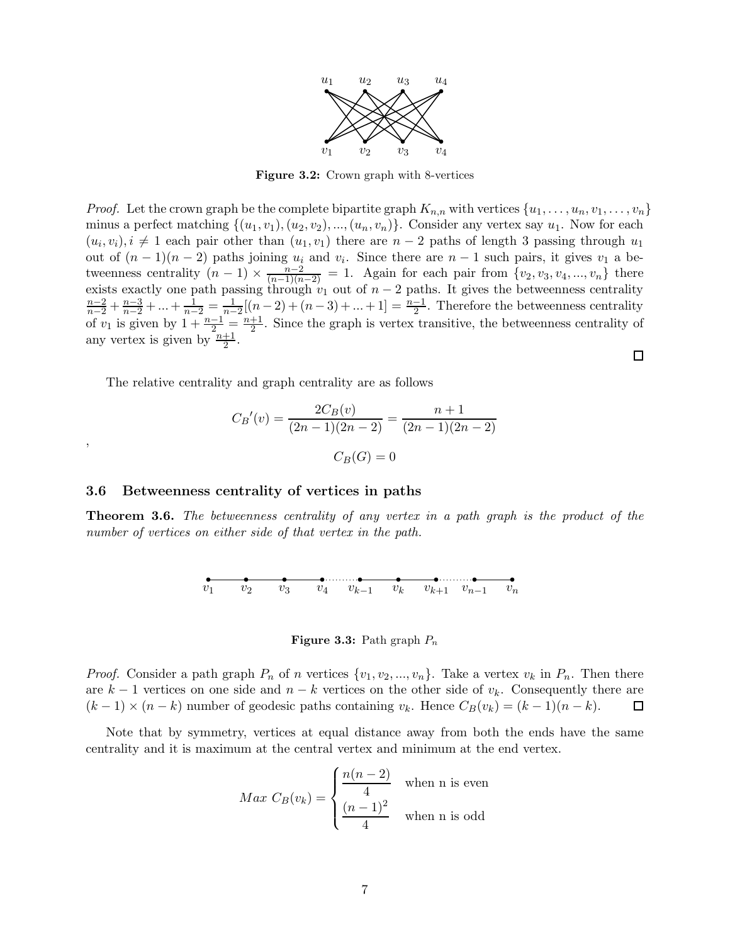

Figure 3.2: Crown graph with 8-vertices

*Proof.* Let the crown graph be the complete bipartite graph  $K_{n,n}$  with vertices  $\{u_1, \ldots, u_n, v_1, \ldots, v_n\}$ minus a perfect matching  $\{(u_1, v_1), (u_2, v_2), ..., (u_n, v_n)\}\.$  Consider any vertex say  $u_1$ . Now for each  $(u_i, v_i), i \neq 1$  each pair other than  $(u_1, v_1)$  there are  $n-2$  paths of length 3 passing through  $u_1$ out of  $(n-1)(n-2)$  paths joining  $u_i$  and  $v_i$ . Since there are  $n-1$  such pairs, it gives  $v_1$  a betweenness centrality  $(n-1) \times \frac{n-2}{(n-1)(n-2)} = 1$ . Again for each pair from  $\{v_2, v_3, v_4, ..., v_n\}$  there exists exactly one path passing through  $v_1$  out of  $n-2$  paths. It gives the betweenness centrality  $\frac{n-2}{n-2} + \frac{n-3}{n-2} + \ldots + \frac{1}{n-2} = \frac{1}{n-2}[(n-2) + (n-3) + \ldots + 1] = \frac{n-1}{2}$ . Therefore the betweenness centrality of  $v_1$  is given by  $1 + \frac{n-1}{2} = \frac{n+1}{2}$  $\frac{+1}{2}$ . Since the graph is vertex transitive, the betweenness centrality of any vertex is given by  $\frac{n+1}{2}$ .

The relative centrality and graph centrality are as follows

$$
C_B'(v) = \frac{2C_B(v)}{(2n-1)(2n-2)} = \frac{n+1}{(2n-1)(2n-2)}
$$

$$
C_B(G) = 0
$$

#### 3.6 Betweenness centrality of vertices in paths

,

Theorem 3.6. *The betweenness centrality of any vertex in a path graph is the product of the number of vertices on either side of that vertex in the path.*



**Figure 3.3:** Path graph  $P_n$ 

*Proof.* Consider a path graph  $P_n$  of n vertices  $\{v_1, v_2, ..., v_n\}$ . Take a vertex  $v_k$  in  $P_n$ . Then there are  $k-1$  vertices on one side and  $n-k$  vertices on the other side of  $v_k$ . Consequently there are  $(k-1) \times (n-k)$  number of geodesic paths containing  $v_k$ . Hence  $C_B(v_k) = (k-1)(n-k)$ . □

Note that by symmetry, vertices at equal distance away from both the ends have the same centrality and it is maximum at the central vertex and minimum at the end vertex.

$$
Max\ C_B(v_k) = \begin{cases} \frac{n(n-2)}{4} & \text{when n is even} \\ \frac{(n-1)^2}{4} & \text{when n is odd} \end{cases}
$$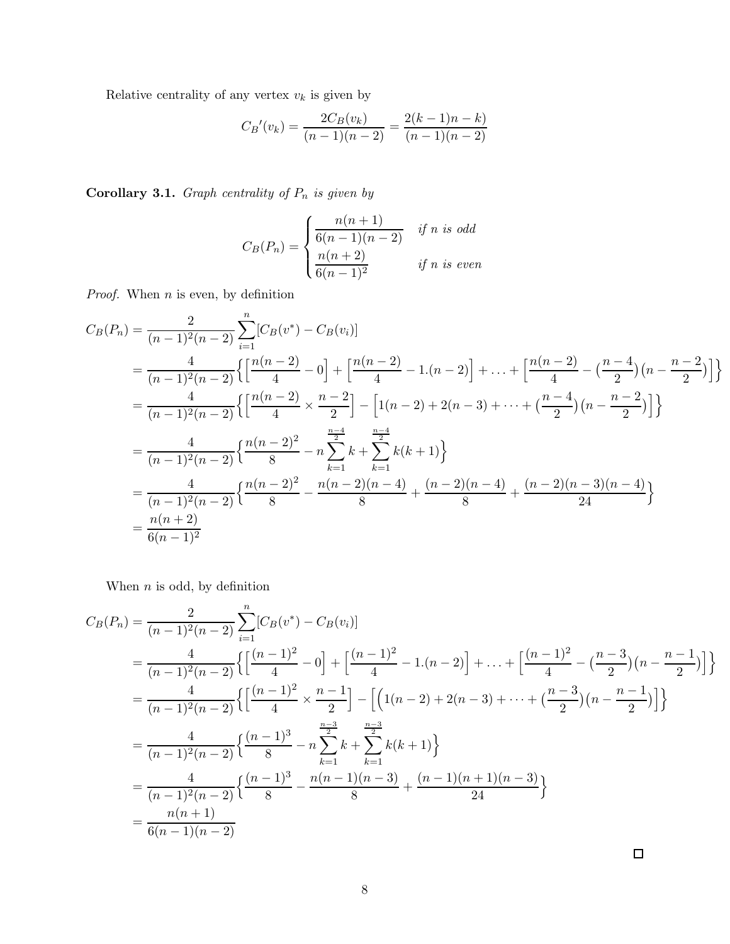Relative centrality of any vertex  $\boldsymbol{v}_k$  is given by

$$
C_B'(v_k) = \frac{2C_B(v_k)}{(n-1)(n-2)} = \frac{2(k-1)n - k)}{(n-1)(n-2)}
$$

**Corollary 3.1.** *Graph centrality of*  $P_n$  *is given by* 

$$
C_B(P_n) = \begin{cases} \frac{n(n+1)}{6(n-1)(n-2)} & \text{if } n \text{ is odd} \\ \frac{n(n+2)}{6(n-1)^2} & \text{if } n \text{ is even} \end{cases}
$$

*Proof.* When *n* is even, by definition

$$
C_B(P_n) = \frac{2}{(n-1)^2(n-2)} \sum_{i=1}^n [C_B(v^*) - C_B(v_i)]
$$
  
=  $\frac{4}{(n-1)^2(n-2)} \left\{ \left[ \frac{n(n-2)}{4} - 0 \right] + \left[ \frac{n(n-2)}{4} - 1 \cdot (n-2) \right] + \dots + \left[ \frac{n(n-2)}{4} - \left( \frac{n-4}{2} \right) (n - \frac{n-2}{2}) \right] \right\}$   
=  $\frac{4}{(n-1)^2(n-2)} \left\{ \left[ \frac{n(n-2)}{4} \times \frac{n-2}{2} \right] - \left[ 1(n-2) + 2(n-3) + \dots + \left( \frac{n-4}{2} \right) (n - \frac{n-2}{2}) \right] \right\}$   
=  $\frac{4}{(n-1)^2(n-2)} \left\{ \frac{n(n-2)^2}{8} - n \sum_{k=1}^{\frac{n-4}{2}} k + \sum_{k=1}^{\frac{n-4}{2}} k(k+1) \right\}$   
=  $\frac{4}{(n-1)^2(n-2)} \left\{ \frac{n(n-2)^2}{8} - \frac{n(n-2)(n-4)}{8} + \frac{(n-2)(n-4)}{8} + \frac{(n-2)(n-3)(n-4)}{24} \right\}$   
=  $\frac{n(n+2)}{6(n-1)^2}$ 

When  $n$  is odd, by definition

$$
C_B(P_n) = \frac{2}{(n-1)^2(n-2)} \sum_{i=1}^n [C_B(v^*) - C_B(v_i)]
$$
  
=  $\frac{4}{(n-1)^2(n-2)} \left\{ \left[ \frac{(n-1)^2}{4} - 0 \right] + \left[ \frac{(n-1)^2}{4} - 1 \cdot (n-2) \right] + \dots + \left[ \frac{(n-1)^2}{4} - \left( \frac{n-3}{2} \right) (n - \frac{n-1}{2}) \right] \right\}$   
=  $\frac{4}{(n-1)^2(n-2)} \left\{ \left[ \frac{(n-1)^2}{4} \times \frac{n-1}{2} \right] - \left[ \left( 1(n-2) + 2(n-3) + \dots + \left( \frac{n-3}{2} \right) (n - \frac{n-1}{2}) \right] \right\}$   
=  $\frac{4}{(n-1)^2(n-2)} \left\{ \frac{(n-1)^3}{8} - n \sum_{k=1}^{\frac{n-3}{2}} k + \sum_{k=1}^{\frac{n-3}{2}} k(k+1) \right\}$   
=  $\frac{4}{(n-1)^2(n-2)} \left\{ \frac{(n-1)^3}{8} - \frac{n(n-1)(n-3)}{8} + \frac{(n-1)(n+1)(n-3)}{24} \right\}$   
=  $\frac{n(n+1)}{6(n-1)(n-2)}$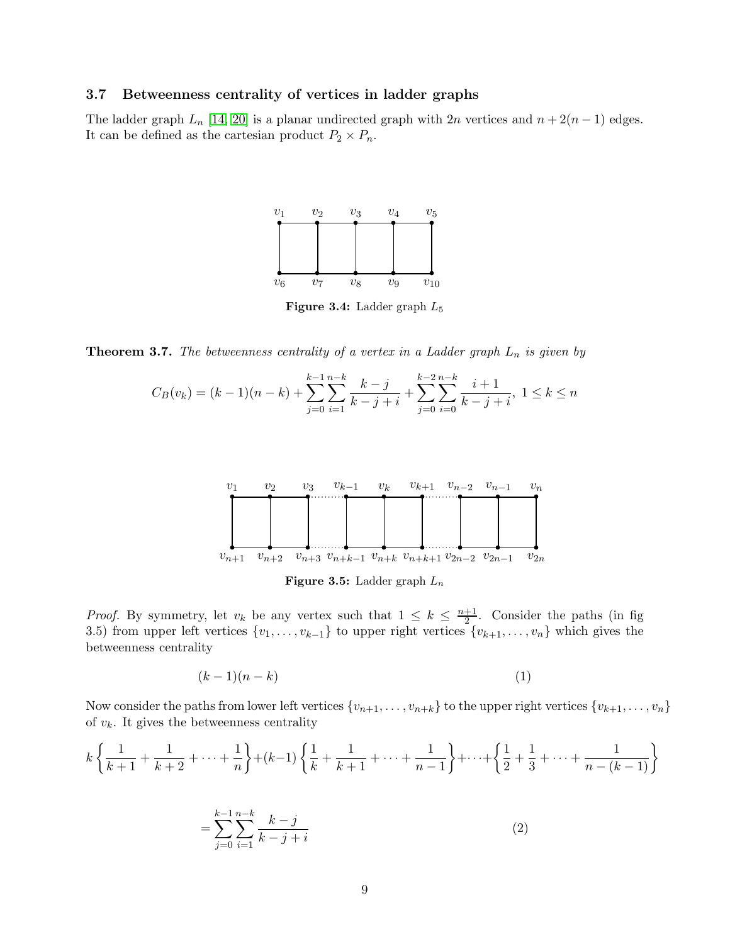#### 3.7 Betweenness centrality of vertices in ladder graphs

The ladder graph  $L_n$  [\[14,](#page-17-7) [20\]](#page-17-8) is a planar undirected graph with 2n vertices and  $n + 2(n - 1)$  edges. It can be defined as the cartesian product  $P_2 \times P_n$ .



Figure 3.4: Ladder graph L<sup>5</sup>

**Theorem 3.7.** The betweenness centrality of a vertex in a Ladder graph  $L_n$  is given by

$$
C_B(v_k) = (k-1)(n-k) + \sum_{j=0}^{k-1} \sum_{i=1}^{n-k} \frac{k-j}{k-j+i} + \sum_{j=0}^{k-2} \sum_{i=0}^{n-k} \frac{i+1}{k-j+i}, \ 1 \le k \le n
$$



**Figure 3.5:** Ladder graph  $L_n$ 

*Proof.* By symmetry, let  $v_k$  be any vertex such that  $1 \leq k \leq \frac{n+1}{2}$ . Consider the paths (in fig. 3.5) from upper left vertices  $\{v_1, \ldots, v_{k-1}\}\)$  to upper right vertices  $\{v_{k+1}, \ldots, v_n\}$  which gives the betweenness centrality

$$
(k-1)(n-k) \tag{1}
$$

Now consider the paths from lower left vertices  $\{v_{n+1}, \ldots, v_{n+k}\}\$  to the upper right vertices  $\{v_{k+1}, \ldots, v_n\}$ of  $v_k$ . It gives the betweenness centrality

$$
k\left\{\frac{1}{k+1} + \frac{1}{k+2} + \dots + \frac{1}{n}\right\} + (k-1)\left\{\frac{1}{k} + \frac{1}{k+1} + \dots + \frac{1}{n-1}\right\} + \dots + \left\{\frac{1}{2} + \frac{1}{3} + \dots + \frac{1}{n-(k-1)}\right\}
$$

$$
= \sum_{j=0}^{k-1} \sum_{i=1}^{n-k} \frac{k-j}{k-j+i}
$$
(2)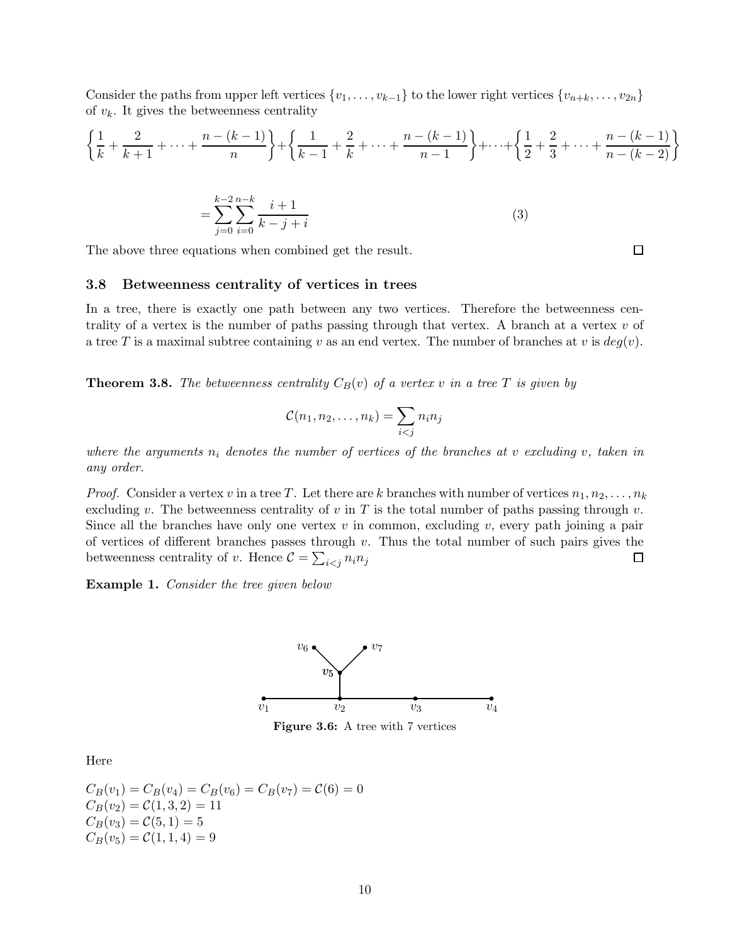Consider the paths from upper left vertices  $\{v_1, \ldots, v_{k-1}\}$  to the lower right vertices  $\{v_{n+k}, \ldots, v_{2n}\}$ of  $v_k$ . It gives the betweenness centrality

$$
\left\{\frac{1}{k} + \frac{2}{k+1} + \dots + \frac{n-(k-1)}{n}\right\} + \left\{\frac{1}{k-1} + \frac{2}{k} + \dots + \frac{n-(k-1)}{n-1}\right\} + \dots + \left\{\frac{1}{2} + \frac{2}{3} + \dots + \frac{n-(k-1)}{n-(k-2)}\right\}
$$

$$
=\sum_{j=0}^{k-2} \sum_{i=0}^{n-k} \frac{i+1}{k-j+i}
$$
 (3)

The above three equations when combined get the result.

#### 3.8 Betweenness centrality of vertices in trees

In a tree, there is exactly one path between any two vertices. Therefore the betweenness centrality of a vertex is the number of paths passing through that vertex. A branch at a vertex  $v$  of a tree T is a maximal subtree containing v as an end vertex. The number of branches at v is  $deg(v)$ .

**Theorem 3.8.** The betweenness centrality  $C_B(v)$  of a vertex v in a tree T is given by

$$
\mathcal{C}(n_1, n_2, \dots, n_k) = \sum_{i < j} n_i n_j
$$

*where the arguments*  $n_i$  *denotes the number of vertices of the branches at v excluding* v, taken in *any order.*

*Proof.* Consider a vertex v in a tree T. Let there are k branches with number of vertices  $n_1, n_2, \ldots, n_k$ excluding v. The betweenness centrality of v in T is the total number of paths passing through v. Since all the branches have only one vertex  $v$  in common, excluding  $v$ , every path joining a pair of vertices of different branches passes through  $v$ . Thus the total number of such pairs gives the betweenness centrality of v. Hence  $C = \sum_{i < j} n_i n_j$  $\Box$ 

Example 1. *Consider the tree given below*



Figure 3.6: A tree with 7 vertices

Here

$$
C_B(v_1) = C_B(v_4) = C_B(v_6) = C_B(v_7) = C(6) = 0
$$
  
\n
$$
C_B(v_2) = C(1, 3, 2) = 11
$$
  
\n
$$
C_B(v_3) = C(5, 1) = 5
$$
  
\n
$$
C_B(v_5) = C(1, 1, 4) = 9
$$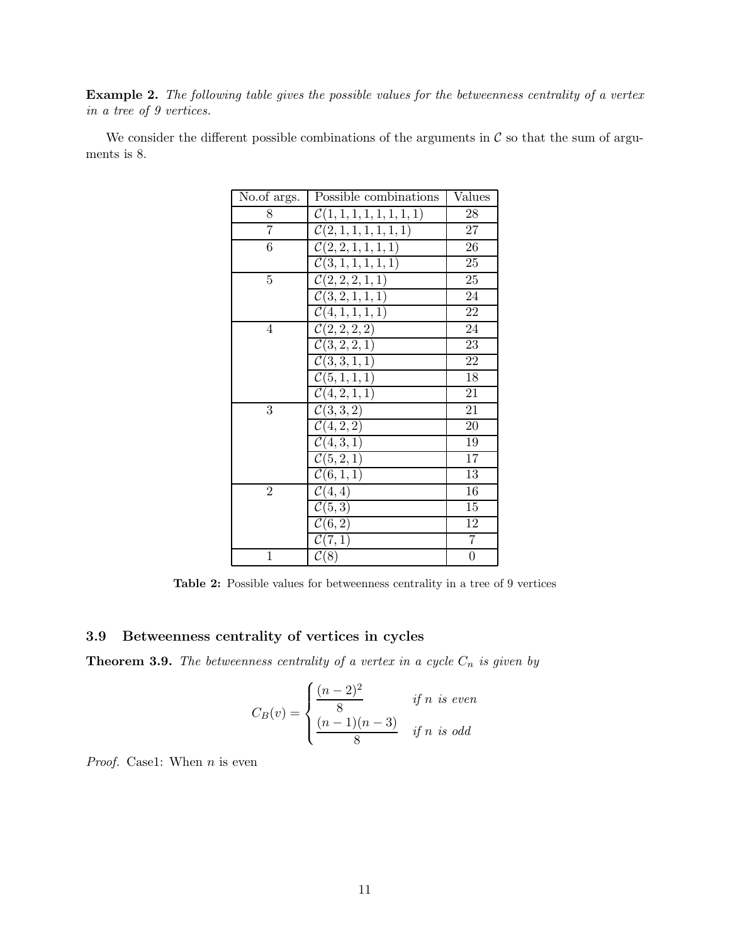Example 2. *The following table gives the possible values for the betweenness centrality of a vertex in a tree of 9 vertices.*

We consider the different possible combinations of the arguments in  $\mathcal C$  so that the sum of arguments is 8.

| No.of args.    | Possible combinations           | Values          |
|----------------|---------------------------------|-----------------|
| 8              | $\mathcal{C}(1,1,1,1,1,1,1,1)$  | 28              |
| $\overline{7}$ | $\mathcal{C}(2,1,1,1,1,1,1)$    | 27              |
| 6              | $\mathcal{C}(2,2,1,1,1,1)$      | 26              |
|                | $\mathcal{C}(3,1,1,1,1,1)$      | 25              |
| 5              | C(2, 2, 2, 1, 1)                | 25              |
|                | C(3, 2, 1, 1, 1)                | 24              |
|                | C(4, 1, 1, 1, 1)                | 22              |
| 4              | C(2, 2, 2, 2)                   | 24              |
|                | C(3, 2, 2, 1)                   | 23              |
|                | C(3,3,1,1)                      | 22              |
|                | C(5, 1, 1, 1)                   | $\overline{18}$ |
|                | C(4, 2, 1, 1)                   | 21              |
| 3              | C(3,3,2)                        | 21              |
|                | $\overline{\mathcal{C}(4,2,2)}$ | 20              |
|                | C(4, 3, 1)                      | 19              |
|                | $\overline{\mathcal{C}}(5,2,1)$ | 17              |
|                | $\overline{\mathcal{C}(6,1,1)}$ | $\overline{13}$ |
| $\overline{2}$ | $\overline{\mathcal{C}}(4,4)$   | 16              |
|                | $\overline{\mathcal{C}}(5,3)$   | 15              |
|                | $\mathcal{C}(6,2)$              | 12              |
|                | $\mathcal{C}(7,1)$              | $\overline{7}$  |
| $\mathbf 1$    | $\mathcal{C}(8)$                | $\overline{0}$  |

Table 2: Possible values for betweenness centrality in a tree of 9 vertices

## 3.9 Betweenness centrality of vertices in cycles

**Theorem 3.9.** *The betweenness centrality of a vertex in a cycle*  $C_n$  *is given by* 

$$
C_B(v) = \begin{cases} \frac{(n-2)^2}{8} & \text{if } n \text{ is even} \\ \frac{(n-1)(n-3)}{8} & \text{if } n \text{ is odd} \end{cases}
$$

*Proof.* Case1: When *n* is even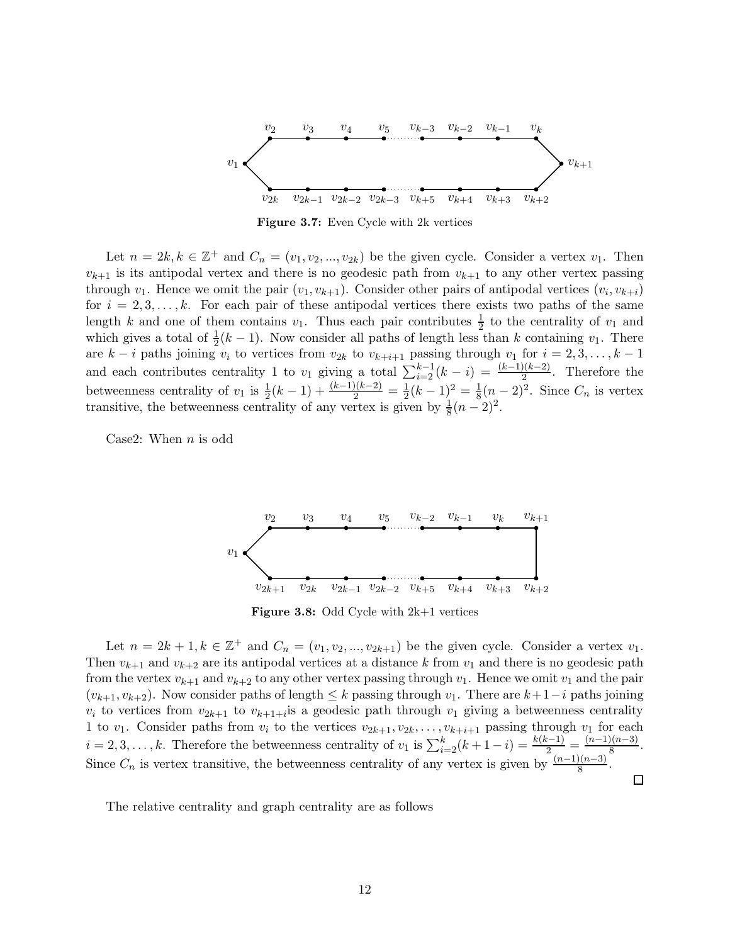

Figure 3.7: Even Cycle with 2k vertices

Let  $n = 2k, k \in \mathbb{Z}^+$  and  $C_n = (v_1, v_2, ..., v_{2k})$  be the given cycle. Consider a vertex  $v_1$ . Then  $v_{k+1}$  is its antipodal vertex and there is no geodesic path from  $v_{k+1}$  to any other vertex passing through  $v_1$ . Hence we omit the pair  $(v_1, v_{k+1})$ . Consider other pairs of antipodal vertices  $(v_i, v_{k+i})$ for  $i = 2, 3, \ldots, k$ . For each pair of these antipodal vertices there exists two paths of the same length k and one of them contains  $v_1$ . Thus each pair contributes  $\frac{1}{2}$  to the centrality of  $v_1$  and which gives a total of  $\frac{1}{2}(k-1)$ . Now consider all paths of length less than k containing  $v_1$ . There are  $k - i$  paths joining  $v_i$  to vertices from  $v_{2k}$  to  $v_{k+i+1}$  passing through  $v_1$  for  $i = 2, 3, \ldots, k - 1$ and each contributes centrality 1 to  $v_1$  giving a total  $\sum_{i=2}^{k-1} (k-i) = \frac{(k-1)(k-2)}{2}$ . Therefore the betweenness centrality of  $v_1$  is  $\frac{1}{2}(k-1) + \frac{(k-1)(k-2)}{2} = \frac{1}{2}$  $\frac{1}{2}(k-1)^2 = \frac{1}{8}$  $\frac{1}{8}(n-2)^2$ . Since  $C_n$  is vertex transitive, the betweenness centrality of any vertex is given by  $\frac{1}{8}(n-2)^2$ .

Case2: When  $n$  is odd



Figure 3.8: Odd Cycle with 2k+1 vertices

Let  $n = 2k + 1, k \in \mathbb{Z}^+$  and  $C_n = (v_1, v_2, ..., v_{2k+1})$  be the given cycle. Consider a vertex  $v_1$ . Then  $v_{k+1}$  and  $v_{k+2}$  are its antipodal vertices at a distance k from  $v_1$  and there is no geodesic path from the vertex  $v_{k+1}$  and  $v_{k+2}$  to any other vertex passing through  $v_1$ . Hence we omit  $v_1$  and the pair  $(v_{k+1}, v_{k+2})$ . Now consider paths of length  $\leq k$  passing through  $v_1$ . There are  $k+1-i$  paths joining  $v_i$  to vertices from  $v_{2k+1}$  to  $v_{k+1+i}$  is a geodesic path through  $v_1$  giving a betweenness centrality 1 to  $v_1$ . Consider paths from  $v_i$  to the vertices  $v_{2k+1}, v_{2k}, \ldots, v_{k+i+1}$  passing through  $v_1$  for each  $i = 2, 3, \ldots, k$ . Therefore the betweenness centrality of  $v_1$  is  $\sum_{i=2}^{k} (k+1-i) = \frac{k(k-1)}{2} = \frac{(n-1)(n-3)}{8}$  $rac{1}{8}$ . Since  $C_n$  is vertex transitive, the betweenness centrality of any vertex is given by  $\frac{(n-1)(n-3)}{8}$ .

 $\Box$ 

The relative centrality and graph centrality are as follows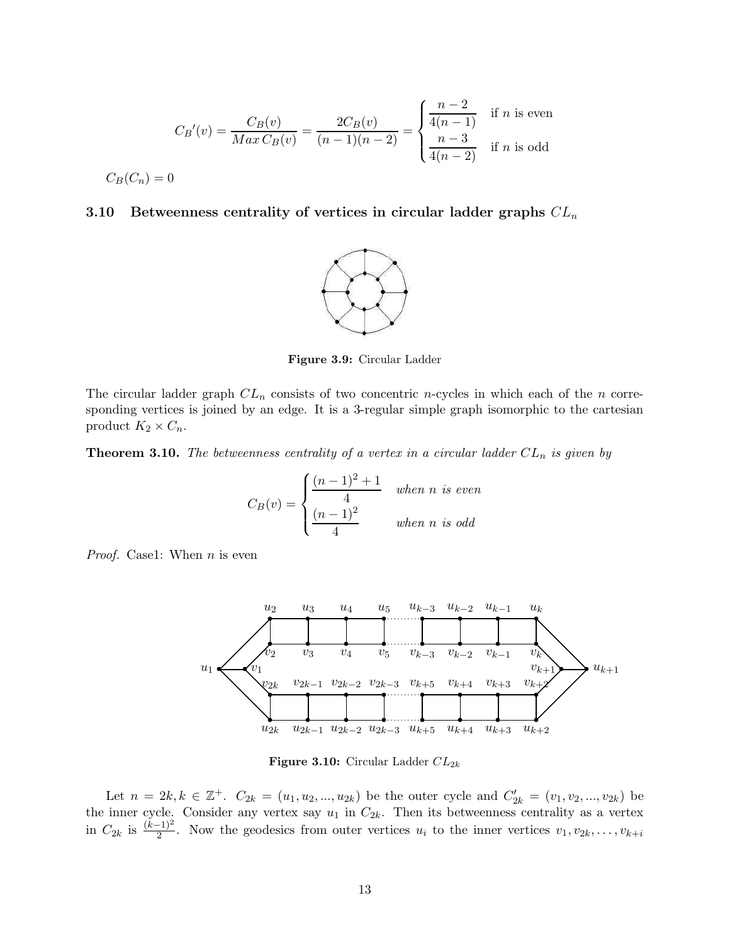$$
C_B'(v) = \frac{C_B(v)}{Max\,C_B(v)} = \frac{2C_B(v)}{(n-1)(n-2)} = \begin{cases} \frac{n-2}{4(n-1)} & \text{if } n \text{ is even} \\ \frac{n-3}{4(n-2)} & \text{if } n \text{ is odd} \end{cases}
$$

$$
C_B(C_n) = 0
$$

## 3.10 Betweenness centrality of vertices in circular ladder graphs  $CL_n$



Figure 3.9: Circular Ladder

The circular ladder graph  $CL_n$  consists of two concentric n-cycles in which each of the n corresponding vertices is joined by an edge. It is a 3-regular simple graph isomorphic to the cartesian product  $K_2 \times C_n$ .

**Theorem 3.10.** The betweenness centrality of a vertex in a circular ladder  $CL_n$  is given by

$$
C_B(v) = \begin{cases} \frac{(n-1)^2 + 1}{4} & when n \text{ is even} \\ \frac{(n-1)^2}{4} & when n \text{ is odd} \end{cases}
$$

*Proof.* Case1: When *n* is even



Figure 3.10: Circular Ladder  $CL_{2k}$ 

Let  $n = 2k, k \in \mathbb{Z}^+$ .  $C_{2k} = (u_1, u_2, ..., u_{2k})$  be the outer cycle and  $C'_{2k} = (v_1, v_2, ..., v_{2k})$  be the inner cycle. Consider any vertex say  $u_1$  in  $C_{2k}$ . Then its betweenness centrality as a vertex in  $C_{2k}$  is  $\frac{(\tilde{k}-1)^2}{2}$ . Now the geodesics from outer vertices  $u_i$  to the inner vertices  $v_1, v_{2k}, \ldots, v_{k+i}$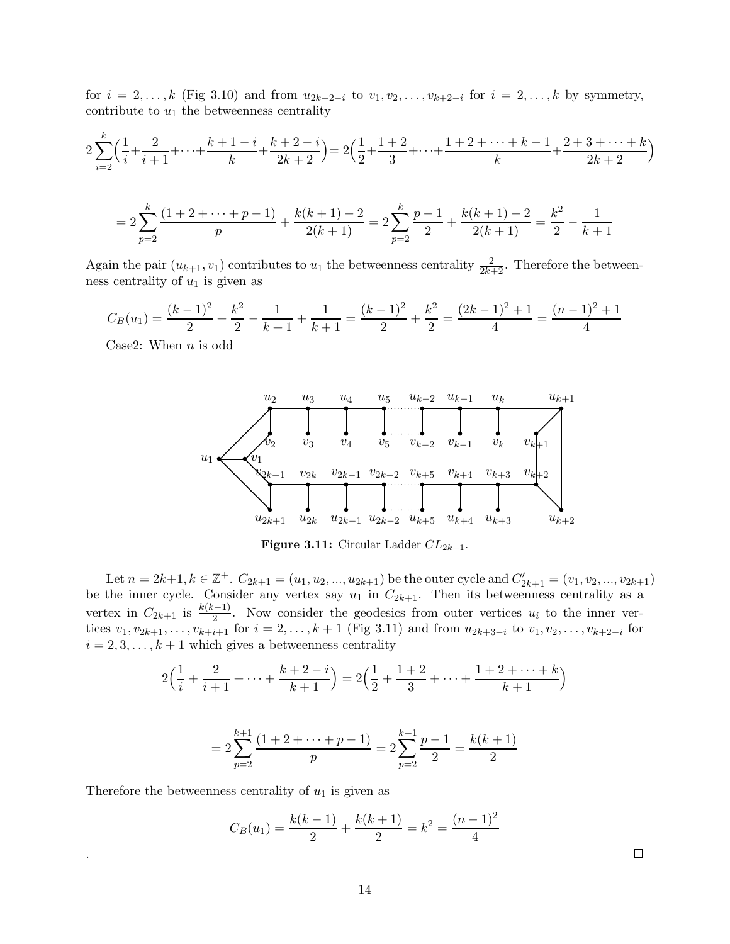for  $i = 2, ..., k$  (Fig 3.10) and from  $u_{2k+2-i}$  to  $v_1, v_2, ..., v_{k+2-i}$  for  $i = 2, ..., k$  by symmetry, contribute to  $u_1$  the betweenness centrality

$$
2\sum_{i=2}^{k} \left(\frac{1}{i} + \frac{2}{i+1} + \dots + \frac{k+1-i}{k} + \frac{k+2-i}{2k+2}\right) = 2\left(\frac{1}{2} + \frac{1+2}{3} + \dots + \frac{1+2+\dots+k-1}{k} + \frac{2+3+\dots+k}{2k+2}\right)
$$

$$
= 2\sum_{p=2}^{k} \frac{(1+2+\dots+p-1)}{p} + \frac{k(k+1)-2}{2(k+1)} = 2\sum_{p=2}^{k} \frac{p-1}{2} + \frac{k(k+1)-2}{2(k+1)} = \frac{k^2}{2} - \frac{1}{k+1}
$$

Again the pair  $(u_{k+1}, v_1)$  contributes to  $u_1$  the betweenness centrality  $\frac{2}{2k+2}$ . Therefore the betweenness centrality of  $u_1$  is given as

$$
C_B(u_1) = \frac{(k-1)^2}{2} + \frac{k^2}{2} - \frac{1}{k+1} + \frac{1}{k+1} = \frac{(k-1)^2}{2} + \frac{k^2}{2} = \frac{(2k-1)^2 + 1}{4} = \frac{(n-1)^2 + 1}{4}
$$

Case2: When  $n$  is odd



Figure 3.11: Circular Ladder  $CL_{2k+1}$ .

Let  $n = 2k+1, k \in \mathbb{Z}^+$ .  $C_{2k+1} = (u_1, u_2, ..., u_{2k+1})$  be the outer cycle and  $C'_{2k+1} = (v_1, v_2, ..., v_{2k+1})$ be the inner cycle. Consider any vertex say  $u_1$  in  $C_{2k+1}$ . Then its betweenness centrality as a vertex in  $C_{2k+1}$  is  $\frac{k(k-1)}{2}$ . Now consider the geodesics from outer vertices  $u_i$  to the inner vertices  $v_1, v_{2k+1}, \ldots, v_{k+i+1}$  for  $i = 2, \ldots, k+1$  (Fig 3.11) and from  $u_{2k+3-i}$  to  $v_1, v_2, \ldots, v_{k+2-i}$  for  $i = 2, 3, \ldots, k + 1$  which gives a betweenness centrality

$$
2\left(\frac{1}{i} + \frac{2}{i+1} + \dots + \frac{k+2-i}{k+1}\right) = 2\left(\frac{1}{2} + \frac{1+2}{3} + \dots + \frac{1+2+\dots+k}{k+1}\right)
$$

$$
=2\sum_{p=2}^{k+1}\frac{(1+2+\cdots+p-1)}{p}=2\sum_{p=2}^{k+1}\frac{p-1}{2}=\frac{k(k+1)}{2}
$$

Therefore the betweenness centrality of  $u_1$  is given as

.

$$
C_B(u_1) = \frac{k(k-1)}{2} + \frac{k(k+1)}{2} = k^2 = \frac{(n-1)^2}{4}
$$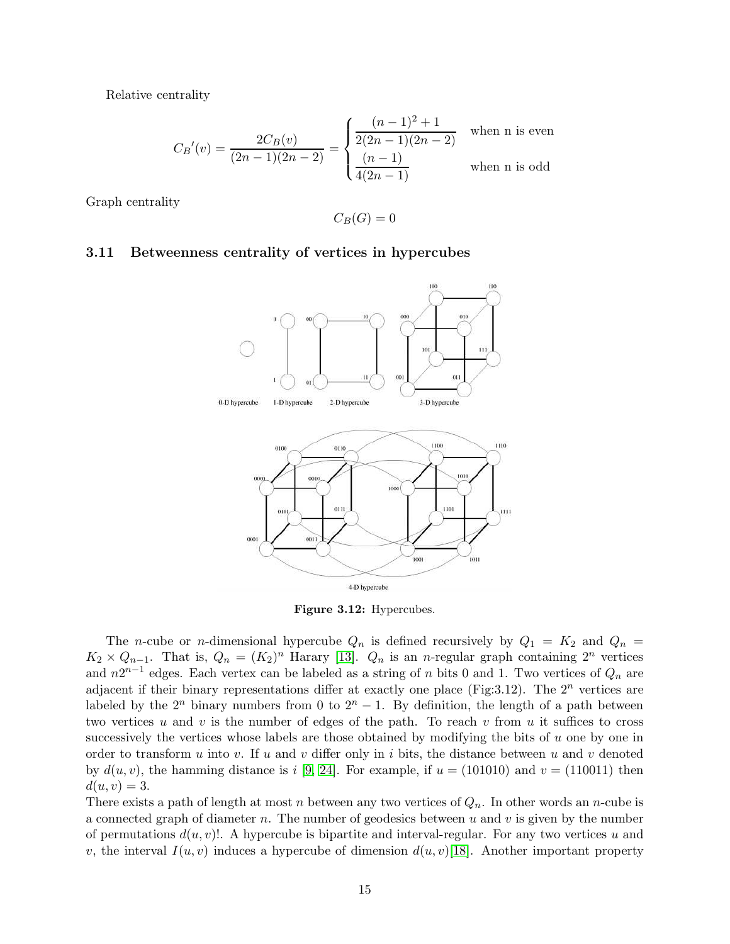Relative centrality

$$
C_B'(v) = \frac{2C_B(v)}{(2n-1)(2n-2)} = \begin{cases} \frac{(n-1)^2 + 1}{2(2n-1)(2n-2)} & \text{when n is even} \\ \frac{(n-1)}{4(2n-1)} & \text{when n is odd} \end{cases}
$$

Graph centrality

$$
C_B(G)=0
$$

#### 3.11 Betweenness centrality of vertices in hypercubes



Figure 3.12: Hypercubes.

The *n*-cube or *n*-dimensional hypercube  $Q_n$  is defined recursively by  $Q_1 = K_2$  and  $Q_n =$  $K_2 \times Q_{n-1}$ . That is,  $Q_n = (K_2)^n$  Harary [\[13\]](#page-16-11).  $Q_n$  is an n-regular graph containing  $2^n$  vertices and  $n2^{n-1}$  edges. Each vertex can be labeled as a string of n bits 0 and 1. Two vertices of  $Q_n$  are adjacent if their binary representations differ at exactly one place (Fig: 3.12). The  $2^n$  vertices are labeled by the  $2^n$  binary numbers from 0 to  $2^n - 1$ . By definition, the length of a path between two vertices u and v is the number of edges of the path. To reach v from u it suffices to cross successively the vertices whose labels are those obtained by modifying the bits of  $u$  one by one in order to transform u into v. If u and v differ only in i bits, the distance between u and v denoted by  $d(u, v)$ , the hamming distance is i [\[9,](#page-16-12) [24\]](#page-17-9). For example, if  $u = (101010)$  and  $v = (110011)$  then  $d(u, v) = 3.$ 

There exists a path of length at most n between any two vertices of  $Q_n$ . In other words an n-cube is a connected graph of diameter  $n$ . The number of geodesics between  $u$  and  $v$  is given by the number of permutations  $d(u, v)$ !. A hypercube is bipartite and interval-regular. For any two vertices u and v, the interval  $I(u, v)$  induces a hypercube of dimension  $d(u, v)$ [\[18\]](#page-17-10). Another important property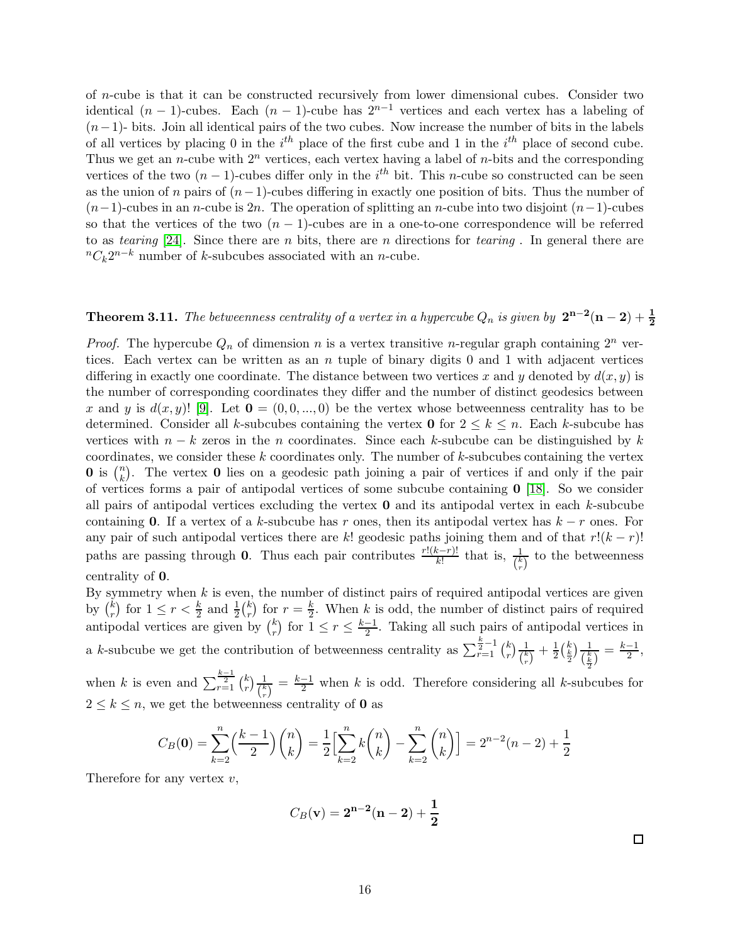of n-cube is that it can be constructed recursively from lower dimensional cubes. Consider two identical  $(n-1)$ -cubes. Each  $(n-1)$ -cube has  $2^{n-1}$  vertices and each vertex has a labeling of  $(n-1)$ - bits. Join all identical pairs of the two cubes. Now increase the number of bits in the labels of all vertices by placing 0 in the  $i^{th}$  place of the first cube and 1 in the  $i^{th}$  place of second cube. Thus we get an *n*-cube with  $2^n$  vertices, each vertex having a label of *n*-bits and the corresponding vertices of the two  $(n-1)$ -cubes differ only in the i<sup>th</sup> bit. This n-cube so constructed can be seen as the union of n pairs of  $(n-1)$ -cubes differing in exactly one position of bits. Thus the number of  $(n-1)$ -cubes in an n-cube is 2n. The operation of splitting an n-cube into two disjoint  $(n-1)$ -cubes so that the vertices of the two  $(n - 1)$ -cubes are in a one-to-one correspondence will be referred to as *tearing* [\[24\]](#page-17-9). Since there are n bits, there are n directions for *tearing* . In general there are  ${}^{n}C_{k}2^{n-k}$  number of k-subcubes associated with an n-cube.

# **Theorem 3.11.** *The betweenness centrality of a vertex in a hypercube*  $Q_n$  *is given by*  $2^{n-2}(n-2) + \frac{1}{2}$

*Proof.* The hypercube  $Q_n$  of dimension n is a vertex transitive n-regular graph containing  $2^n$  vertices. Each vertex can be written as an  $n$  tuple of binary digits 0 and 1 with adjacent vertices differing in exactly one coordinate. The distance between two vertices x and y denoted by  $d(x, y)$  is the number of corresponding coordinates they differ and the number of distinct geodesics between x and y is  $d(x, y)$ ! [\[9\]](#page-16-12). Let  $\mathbf{0} = (0, 0, \dots, 0)$  be the vertex whose betweenness centrality has to be determined. Consider all k-subcubes containing the vertex **0** for  $2 \leq k \leq n$ . Each k-subcube has vertices with  $n - k$  zeros in the n coordinates. Since each k-subcube can be distinguished by k coordinates, we consider these  $k$  coordinates only. The number of  $k$ -subcubes containing the vertex **0** is  $\binom{n}{k}$  $\binom{n}{k}$ . The vertex **0** lies on a geodesic path joining a pair of vertices if and only if the pair of vertices forms a pair of antipodal vertices of some subcube containing  $\mathbf{0}$  [\[18\]](#page-17-10). So we consider all pairs of antipodal vertices excluding the vertex  $\bf{0}$  and its antipodal vertex in each k-subcube containing 0. If a vertex of a k-subcube has r ones, then its antipodal vertex has  $k - r$  ones. For any pair of such antipodal vertices there are k! geodesic paths joining them and of that  $r!(k - r)!$ paths are passing through **0**. Thus each pair contributes  $\frac{r!(k-r)!}{k!}$  that is,  $\frac{1}{\binom{k}{r}}$  to the betweenness centrality of 0.

By symmetry when  $k$  is even, the number of distinct pairs of required antipodal vertices are given by  $\binom{k}{r}$  $\binom{k}{r}$  for  $1 \leq r < \frac{k}{2}$  and  $\frac{1}{2} \binom{k}{r}$  $\binom{k}{r}$  for  $r=\frac{k}{2}$  $\frac{k}{2}$ . When k is odd, the number of distinct pairs of required antipodal vertices are given by  $\binom{k}{r}$  $(r \choose r)$  for  $1 \leq r \leq \frac{k-1}{2}$  $\frac{-1}{2}$ . Taking all such pairs of antipodal vertices in a k-subcube we get the contribution of betweenness centrality as  $\sum_{r=1}^{\frac{k}{2}-1} {k \choose r}$  $\binom{k}{r}\frac{1}{\binom{k}}$  $\frac{1}{\binom{k}{r}} + \frac{1}{2}$  $\frac{1}{2} \left(\frac{k}{2}\right) \frac{1}{\binom{k}{k}}$  $\frac{1}{\binom{k}{2}} = \frac{k-1}{2}$  $\frac{-1}{2}$ ,

when k is even and  $\sum_{r=1}^{\frac{k-1}{2}} {k \choose r}$  $\binom{k}{r}\frac{1}{\binom{k}}$  $\frac{1}{\binom{k}{r}} = \frac{k-1}{2}$  when k is odd. Therefore considering all k-subcubes for  $2 \leq k \leq n$ , we get the betweenness centrality of **0** as

$$
C_B(\mathbf{0}) = \sum_{k=2}^n \left(\frac{k-1}{2}\right) \binom{n}{k} = \frac{1}{2} \left[ \sum_{k=2}^n k \binom{n}{k} - \sum_{k=2}^n \binom{n}{k} \right] = 2^{n-2}(n-2) + \frac{1}{2}
$$

Therefore for any vertex  $v$ ,

$$
C_B(\mathbf{v}) = 2^{\mathbf{n-2}}(\mathbf{n-2}) + \frac{1}{2}
$$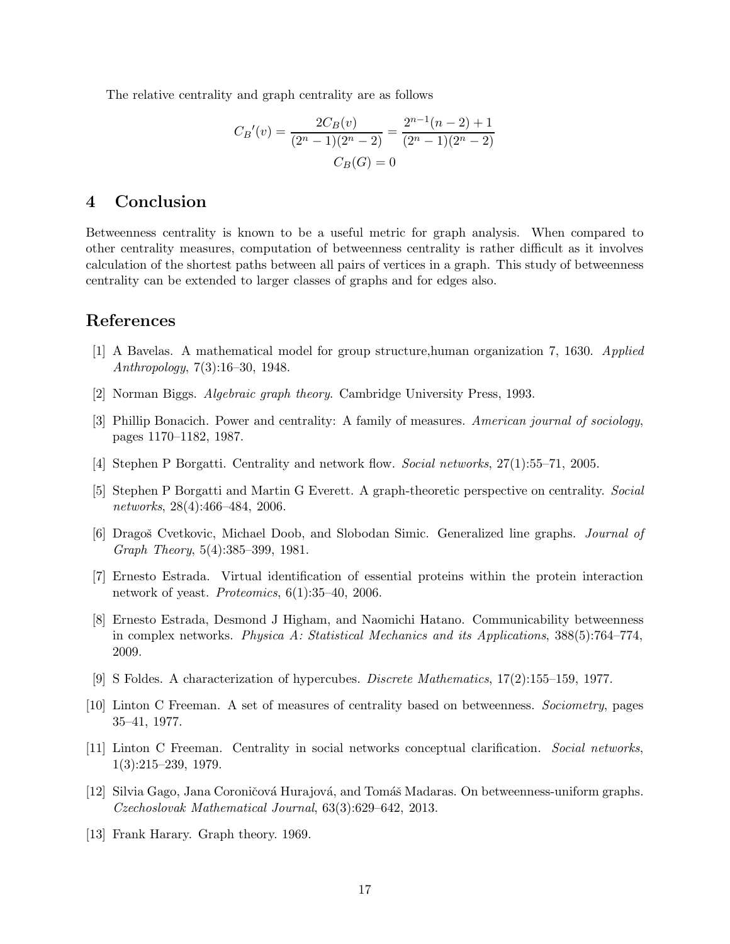The relative centrality and graph centrality are as follows

$$
C_B'(v) = \frac{2C_B(v)}{(2^n - 1)(2^n - 2)} = \frac{2^{n-1}(n-2) + 1}{(2^n - 1)(2^n - 2)}
$$

$$
C_B(G) = 0
$$

# 4 Conclusion

Betweenness centrality is known to be a useful metric for graph analysis. When compared to other centrality measures, computation of betweenness centrality is rather difficult as it involves calculation of the shortest paths between all pairs of vertices in a graph. This study of betweenness centrality can be extended to larger classes of graphs and for edges also.

# <span id="page-16-7"></span>References

- <span id="page-16-10"></span>[1] A Bavelas. A mathematical model for group structure,human organization 7, 1630. *Applied Anthropology*, 7(3):16–30, 1948.
- <span id="page-16-2"></span>[2] Norman Biggs. *Algebraic graph theory*. Cambridge University Press, 1993.
- <span id="page-16-3"></span>[3] Phillip Bonacich. Power and centrality: A family of measures. *American journal of sociology*, pages 1170–1182, 1987.
- <span id="page-16-4"></span>[4] Stephen P Borgatti. Centrality and network flow. *Social networks*, 27(1):55–71, 2005.
- [5] Stephen P Borgatti and Martin G Everett. A graph-theoretic perspective on centrality. *Social networks*, 28(4):466–484, 2006.
- <span id="page-16-9"></span><span id="page-16-0"></span>[6] Dragoˇs Cvetkovic, Michael Doob, and Slobodan Simic. Generalized line graphs. *Journal of Graph Theory*, 5(4):385–399, 1981.
- <span id="page-16-5"></span>[7] Ernesto Estrada. Virtual identification of essential proteins within the protein interaction network of yeast. *Proteomics*, 6(1):35–40, 2006.
- [8] Ernesto Estrada, Desmond J Higham, and Naomichi Hatano. Communicability betweenness in complex networks. *Physica A: Statistical Mechanics and its Applications*, 388(5):764–774, 2009.
- <span id="page-16-12"></span><span id="page-16-8"></span>[9] S Foldes. A characterization of hypercubes. *Discrete Mathematics*, 17(2):155–159, 1977.
- <span id="page-16-1"></span>[10] Linton C Freeman. A set of measures of centrality based on betweenness. *Sociometry*, pages 35–41, 1977.
- [11] Linton C Freeman. Centrality in social networks conceptual clarification. *Social networks*, 1(3):215–239, 1979.
- <span id="page-16-6"></span>[12] Silvia Gago, Jana Coroničová Hurajová, and Tomáš Madaras. On betweenness-uniform graphs. *Czechoslovak Mathematical Journal*, 63(3):629–642, 2013.
- <span id="page-16-11"></span>[13] Frank Harary. Graph theory. 1969.